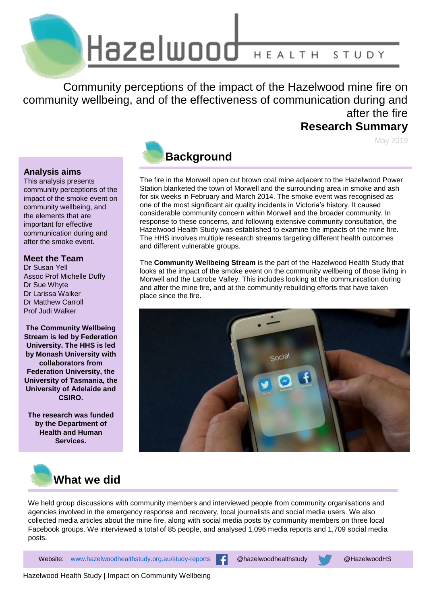

Community perceptions of the impact of the Hazelwood mine fire on community wellbeing, and of the effectiveness of communication during and after the fire **Research Summary**

May 2019

### **Analysis aims**

This analysis presents community perceptions of the impact of the smoke event on community wellbeing, and the elements that are important for effective communication during and after the smoke event.

### **Meet the Team**

Dr Susan Yell Assoc Prof Michelle Duffy Dr Sue Whyte Dr Larissa Walker Dr Matthew Carroll Prof Judi Walker

**The Community Wellbeing Stream is led by Federation University. The HHS is led by Monash University with collaborators from Federation University, the University of Tasmania, the University of Adelaide and CSIRO.**

**The research was funded by the Department of Health and Human Services.**



### **Background**

The fire in the Morwell open cut brown coal mine adjacent to the Hazelwood Power Station blanketed the town of Morwell and the surrounding area in smoke and ash for six weeks in February and March 2014. The smoke event was recognised as one of the most significant air quality incidents in Victoria's history. It caused considerable community concern within Morwell and the broader community. In response to these concerns, and following extensive community consultation, the Hazelwood Health Study was established to examine the impacts of the mine fire. The HHS involves multiple research streams targeting different health outcomes and different vulnerable groups.

The **Community Wellbeing Stream** is the part of the Hazelwood Health Study that looks at the impact of the smoke event on the community wellbeing of those living in Morwell and the Latrobe Valley. This includes looking at the communication during and after the mine fire, and at the community rebuilding efforts that have taken place since the fire.





We held group discussions with community members and interviewed people from community organisations and agencies involved in the emergency response and recovery, local journalists and social media users. We also collected media articles about the mine fire, along with social media posts by community members on three local Facebook groups. We interviewed a total of 85 people, and analysed 1,096 media reports and 1,709 social media posts.

1 Website: [www.hazelwoodhealthstudy.org.au/study-reports](http://www.hazelwoodhealthstudy.org.au/study-reports) @hazelwoodhealthstudy @HazelwoodHS

Hazelwood Health Study | Impact on Community Wellbeing